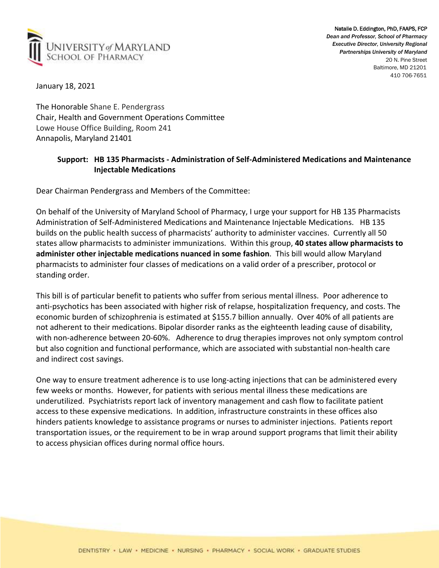



*Dean and Professor, School of Pharmacy Executive Director, University Regional Partnerships University of Maryland*  20 N. Pine Street Baltimore, MD 21201 410 706-7651

January 18, 2021

The Honorable Shane E. Pendergrass Chair, Health and Government Operations Committee Lowe House Office Building, Room 241 Annapolis, Maryland 21401

## **Support: HB 135 Pharmacists - Administration of Self-Administered Medications and Maintenance Injectable Medications**

Dear Chairman Pendergrass and Members of the Committee:

On behalf of the University of Maryland School of Pharmacy, I urge your support for HB 135 Pharmacists Administration of Self-Administered Medications and Maintenance Injectable Medications. HB 135 builds on the public health success of pharmacists' authority to administer vaccines. Currently all 50 states allow pharmacists to administer immunizations. Within this group, **40 states allow pharmacists to administer other injectable medications nuanced in some fashion**. This bill would allow Maryland pharmacists to administer four classes of medications on a valid order of a prescriber, protocol or standing order.

This bill is of particular benefit to patients who suffer from serious mental illness. Poor adherence to anti-psychotics has been associated with higher risk of relapse, hospitalization frequency, and costs. The economic burden of schizophrenia is estimated at \$155.7 billion annually. Over 40% of all patients are not adherent to their medications. Bipolar disorder ranks as the eighteenth leading cause of disability, with non-adherence between 20-60%. Adherence to drug therapies improves not only symptom control but also cognition and functional performance, which are associated with substantial non-health care and indirect cost savings.

One way to ensure treatment adherence is to use long-acting injections that can be administered every few weeks or months. However, for patients with serious mental illness these medications are underutilized. Psychiatrists report lack of inventory management and cash flow to facilitate patient access to these expensive medications. In addition, infrastructure constraints in these offices also hinders patients knowledge to assistance programs or nurses to administer injections. Patients report transportation issues, or the requirement to be in wrap around support programs that limit their ability to access physician offices during normal office hours.